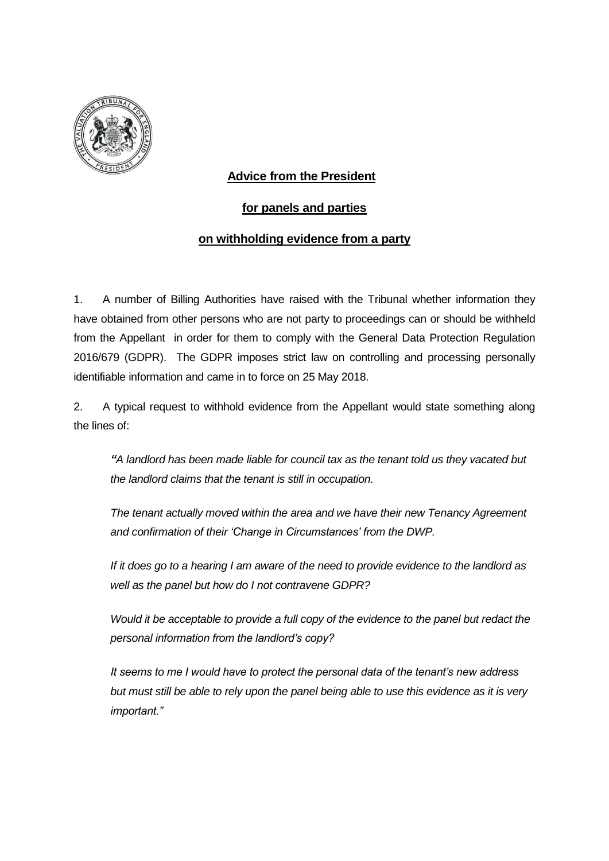

## **Advice from the President**

## **for panels and parties**

## **on withholding evidence from a party**

1. A number of Billing Authorities have raised with the Tribunal whether information they have obtained from other persons who are not party to proceedings can or should be withheld from the Appellant in order for them to comply with the General Data Protection Regulation 2016/679 (GDPR). The GDPR imposes strict law on controlling and processing personally identifiable information and came in to force on 25 May 2018.

2. A typical request to withhold evidence from the Appellant would state something along the lines of:

*"A landlord has been made liable for council tax as the tenant told us they vacated but the landlord claims that the tenant is still in occupation.*

*The tenant actually moved within the area and we have their new Tenancy Agreement and confirmation of their 'Change in Circumstances' from the DWP.*

*If it does go to a hearing I am aware of the need to provide evidence to the landlord as well as the panel but how do I not contravene GDPR?*

*Would it be acceptable to provide a full copy of the evidence to the panel but redact the personal information from the landlord's copy?* 

*It seems to me I would have to protect the personal data of the tenant's new address but must still be able to rely upon the panel being able to use this evidence as it is very important."*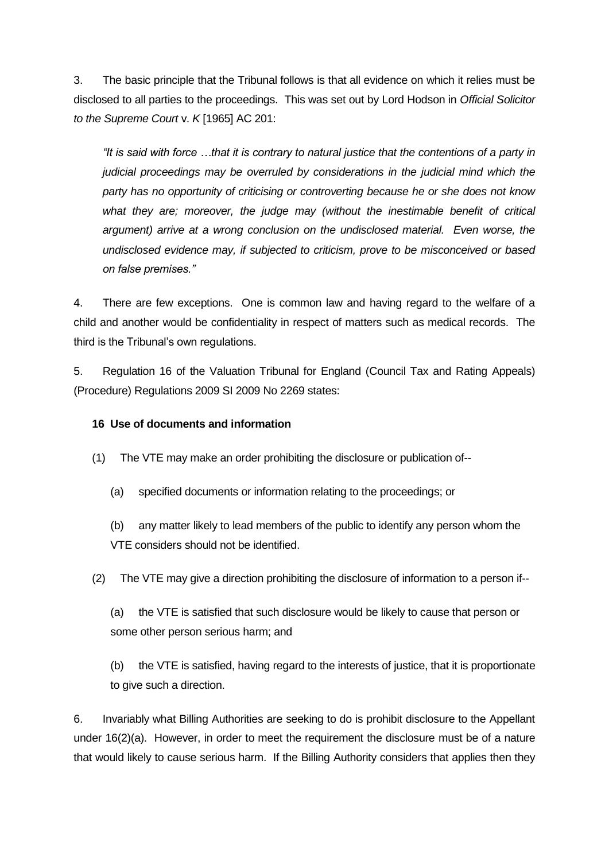3. The basic principle that the Tribunal follows is that all evidence on which it relies must be disclosed to all parties to the proceedings. This was set out by Lord Hodson in *Official Solicitor to the Supreme Court* v. *K* [1965] AC 201:

*"It is said with force …that it is contrary to natural justice that the contentions of a party in judicial proceedings may be overruled by considerations in the judicial mind which the party has no opportunity of criticising or controverting because he or she does not know*  what they are; moreover, the judge may (without the inestimable benefit of critical *argument) arrive at a wrong conclusion on the undisclosed material. Even worse, the undisclosed evidence may, if subjected to criticism, prove to be misconceived or based on false premises."* 

4. There are few exceptions. One is common law and having regard to the welfare of a child and another would be confidentiality in respect of matters such as medical records. The third is the Tribunal's own regulations.

5. Regulation 16 of the Valuation Tribunal for England (Council Tax and Rating Appeals) (Procedure) Regulations 2009 SI 2009 No 2269 states:

## **16 Use of documents and information**

- (1) The VTE may make an order prohibiting the disclosure or publication of--
	- (a) specified documents or information relating to the proceedings; or
	- (b) any matter likely to lead members of the public to identify any person whom the VTE considers should not be identified.
- (2) The VTE may give a direction prohibiting the disclosure of information to a person if--
	- (a) the VTE is satisfied that such disclosure would be likely to cause that person or some other person serious harm; and
	- (b) the VTE is satisfied, having regard to the interests of justice, that it is proportionate to give such a direction.

6. Invariably what Billing Authorities are seeking to do is prohibit disclosure to the Appellant under 16(2)(a). However, in order to meet the requirement the disclosure must be of a nature that would likely to cause serious harm. If the Billing Authority considers that applies then they